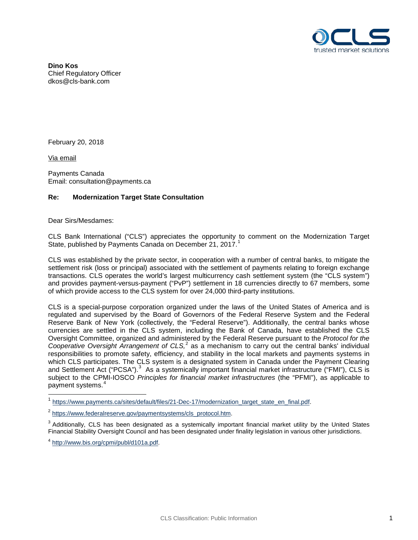

**Dino Kos** Chief Regulatory Officer dkos@cls-bank.com

February 20, 2018

Via email

Payments Canada Email: consultation@payments.ca

## **Re: Modernization Target State Consultation**

Dear Sirs/Mesdames:

CLS Bank International ("CLS") appreciates the opportunity to comment on the Modernization Target State, published by Payments Canada on December 2[1](#page-0-0), 2017.<sup>1</sup>

CLS was established by the private sector, in cooperation with a number of central banks, to mitigate the settlement risk (loss or principal) associated with the settlement of payments relating to foreign exchange transactions. CLS operates the world's largest multicurrency cash settlement system (the "CLS system") and provides payment-versus-payment ("PvP") settlement in 18 currencies directly to 67 members, some of which provide access to the CLS system for over 24,000 third-party institutions.

CLS is a special-purpose corporation organized under the laws of the United States of America and is regulated and supervised by the Board of Governors of the Federal Reserve System and the Federal Reserve Bank of New York (collectively, the "Federal Reserve"). Additionally, the central banks whose currencies are settled in the CLS system, including the Bank of Canada, have established the CLS Oversight Committee, organized and administered by the Federal Reserve pursuant to the *Protocol for the Cooperative Oversight Arrangement of CLS,* [2](#page-0-1) as a mechanism to carry out the central banks' individual responsibilities to promote safety, efficiency, and stability in the local markets and payments systems in which CLS participates. The CLS system is a designated system in Canada under the Payment Clearing and Settlement Act ("PCSA").<sup>[3](#page-0-2)</sup> As a systemically important financial market infrastructure ("FMI"), CLS is subject to the CPMI-IOSCO *Principles for financial market infrastructures* (the "PFMI"), as applicable to payment systems.<sup>[4](#page-0-3)</sup>

<span id="page-0-0"></span>[https://www.payments.ca/sites/default/files/21-Dec-17/modernization\\_target\\_state\\_en\\_final.pdf.](https://www.payments.ca/sites/default/files/21-Dec-17/modernization_target_state_en_final.pdf)

<span id="page-0-2"></span><sup>3</sup> Additionally, CLS has been designated as a systemically important financial market utility by the United States Financial Stability Oversight Council and has been designated under finality legislation in various other jurisdictions.

<span id="page-0-1"></span><sup>&</sup>lt;sup>2</sup> [https://www.federalreserve.gov/paymentsystems/cls\\_protocol.htm.](https://www.federalreserve.gov/paymentsystems/cls_protocol.htm)

<span id="page-0-3"></span><sup>4</sup> [http://www.bis.org/cpmi/publ/d101a.pdf.](http://www.bis.org/cpmi/publ/d101a.pdf)